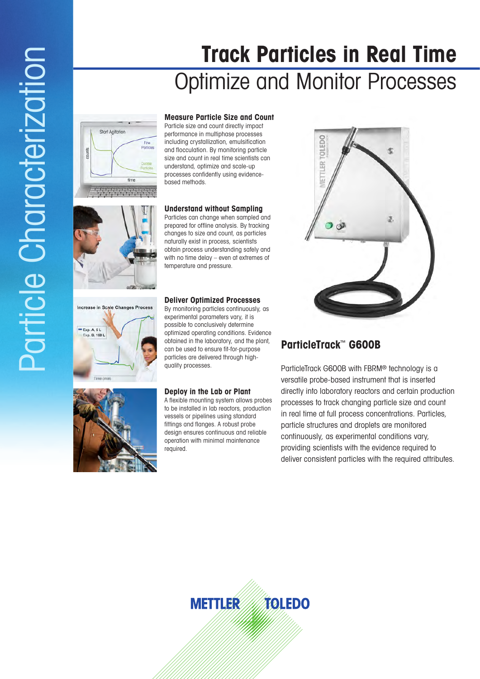# **Track Particles in Real Time** Optimize and Monitor Processes





Increase in Scale Changes Process

 $Exp. A, 5L$ B. 150 L

**Measure Particle Size and Count** Particle size and count directly impact performance in multiphase processes including crystallization, emulsification and flocculation. By monitoring particle size and count in real time scientists can understand, optimize and scale-up processes confidently using evidencebased methods.

#### **Understand without Sampling**

Particles can change when sampled and prepared for offline analysis. By tracking changes to size and count, as particles naturally exist in process, scientists obtain process understanding safely and with no time delay – even at extremes of temperature and pressure.

#### **Deliver Optimized Processes**

By monitoring particles continuously, as experimental parameters vary, it is possible to conclusively determine optimized operating conditions. Evidence obtained in the laboratory, and the plant, can be used to ensure fit-for-purpose particles are delivered through highquality processes.

### **Deploy in the Lab or Plant**

A flexible mounting system allows probes to be installed in lab reactors, production vessels or pipelines using standard fittings and flanges. A robust probe design ensures continuous and reliable operation with minimal maintenance required.



## **ParticleTrack**™ **G600B**

ParticleTrack G600B with FBRM® technology is a versatile probe-based instrument that is inserted directly into laboratory reactors and certain production processes to track changing particle size and count in real time at full process concentrations. Particles, particle structures and droplets are monitored continuously, as experimental conditions vary, providing scientists with the evidence required to deliver consistent particles with the required attributes.